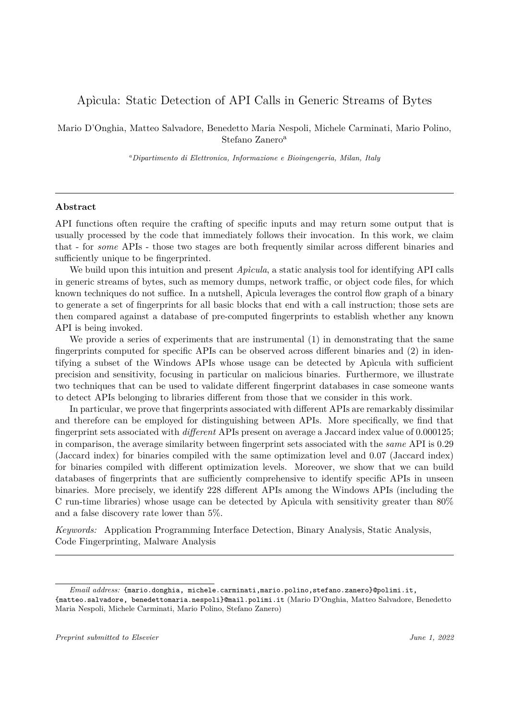# Apìcula: Static Detection of API Calls in Generic Streams of Bytes

Mario D'Onghia, Matteo Salvadore, Benedetto Maria Nespoli, Michele Carminati, Mario Polino, Stefano Zanero<sup>a</sup>

*<sup>a</sup>Dipartimento di Elettronica, Informazione e Bioingengeria, Milan, Italy*

## **Abstract**

API functions often require the crafting of specific inputs and may return some output that is usually processed by the code that immediately follows their invocation. In this work, we claim that - for *some* APIs - those two stages are both frequently similar across different binaries and sufficiently unique to be fingerprinted.

We build upon this intuition and present *Apìcula*, a static analysis tool for identifying API calls in generic streams of bytes, such as memory dumps, network traffic, or object code files, for which known techniques do not suffice. In a nutshell, Apìcula leverages the control flow graph of a binary to generate a set of fingerprints for all basic blocks that end with a call instruction; those sets are then compared against a database of pre-computed fingerprints to establish whether any known API is being invoked.

We provide a series of experiments that are instrumental (1) in demonstrating that the same fingerprints computed for specific APIs can be observed across different binaries and (2) in identifying a subset of the Windows APIs whose usage can be detected by Apìcula with sufficient precision and sensitivity, focusing in particular on malicious binaries. Furthermore, we illustrate two techniques that can be used to validate different fingerprint databases in case someone wants to detect APIs belonging to libraries different from those that we consider in this work.

In particular, we prove that fingerprints associated with different APIs are remarkably dissimilar and therefore can be employed for distinguishing between APIs. More specifically, we find that fingerprint sets associated with *different* APIs present on average a Jaccard index value of 0*.*000125; in comparison, the average similarity between fingerprint sets associated with the *same* API is 0*.*29 (Jaccard index) for binaries compiled with the same optimization level and 0*.*07 (Jaccard index) for binaries compiled with different optimization levels. Moreover, we show that we can build databases of fingerprints that are sufficiently comprehensive to identify specific APIs in unseen binaries. More precisely, we identify 228 different APIs among the Windows APIs (including the C run-time libraries) whose usage can be detected by Apìcula with sensitivity greater than 80% and a false discovery rate lower than 5%.

*Keywords:* Application Programming Interface Detection, Binary Analysis, Static Analysis, Code Fingerprinting, Malware Analysis

*Email address:* {mario.donghia, michele.carminati,mario.polino,stefano.zanero}@polimi.it, {matteo.salvadore, benedettomaria.nespoli}@mail.polimi.it (Mario D'Onghia, Matteo Salvadore, Benedetto Maria Nespoli, Michele Carminati, Mario Polino, Stefano Zanero)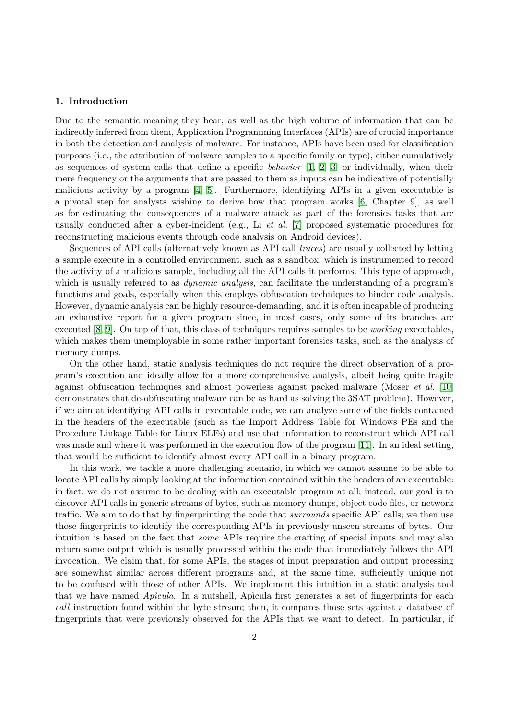## **1. Introduction**

Due to the semantic meaning they bear, as well as the high volume of information that can be indirectly inferred from them, Application Programming Interfaces (APIs) are of crucial importance in both the detection and analysis of malware. For instance, APIs have been used for classification purposes (i.e., the attribution of malware samples to a specific family or type), either cumulatively as sequences of system calls that define a specific *behavior* [\[1,](#page-20-0) [2,](#page-20-1) [3\]](#page-20-2) or individually, when their mere frequency or the arguments that are passed to them as inputs can be indicative of potentially malicious activity by a program [\[4,](#page-20-3) [5\]](#page-20-4). Furthermore, identifying APIs in a given executable is a pivotal step for analysts wishing to derive how that program works [\[6,](#page-21-0) Chapter 9], as well as for estimating the consequences of a malware attack as part of the forensics tasks that are usually conducted after a cyber-incident (e.g., Li *et al.* [\[7\]](#page-21-1) proposed systematic procedures for reconstructing malicious events through code analysis on Android devices).

Sequences of API calls (alternatively known as API call *traces*) are usually collected by letting a sample execute in a controlled environment, such as a sandbox, which is instrumented to record the activity of a malicious sample, including all the API calls it performs. This type of approach, which is usually referred to as *dynamic analysis*, can facilitate the understanding of a program's functions and goals, especially when this employs obfuscation techniques to hinder code analysis. However, dynamic analysis can be highly resource-demanding, and it is often incapable of producing an exhaustive report for a given program since, in most cases, only some of its branches are executed [\[8,](#page-21-2) [9\]](#page-21-3). On top of that, this class of techniques requires samples to be *working* executables, which makes them unemployable in some rather important forensics tasks, such as the analysis of memory dumps.

On the other hand, static analysis techniques do not require the direct observation of a program's execution and ideally allow for a more comprehensive analysis, albeit being quite fragile against obfuscation techniques and almost powerless against packed malware (Moser *et al.* [\[10\]](#page-21-4) demonstrates that de-obfuscating malware can be as hard as solving the 3SAT problem). However, if we aim at identifying API calls in executable code, we can analyze some of the fields contained in the headers of the executable (such as the Import Address Table for Windows PEs and the Procedure Linkage Table for Linux ELFs) and use that information to reconstruct which API call was made and where it was performed in the execution flow of the program [\[11\]](#page-21-5). In an ideal setting, that would be sufficient to identify almost every API call in a binary program.

In this work, we tackle a more challenging scenario, in which we cannot assume to be able to locate API calls by simply looking at the information contained within the headers of an executable: in fact, we do not assume to be dealing with an executable program at all; instead, our goal is to discover API calls in generic streams of bytes, such as memory dumps, object code files, or network traffic. We aim to do that by fingerprinting the code that *surrounds* specific API calls; we then use those fingerprints to identify the corresponding APIs in previously unseen streams of bytes. Our intuition is based on the fact that *some* APIs require the crafting of special inputs and may also return some output which is usually processed within the code that immediately follows the API invocation. We claim that, for some APIs, the stages of input preparation and output processing are somewhat similar across different programs and, at the same time, sufficiently unique not to be confused with those of other APIs. We implement this intuition in a static analysis tool that we have named *Apìcula*. In a nutshell, Apìcula first generates a set of fingerprints for each *call* instruction found within the byte stream; then, it compares those sets against a database of fingerprints that were previously observed for the APIs that we want to detect. In particular, if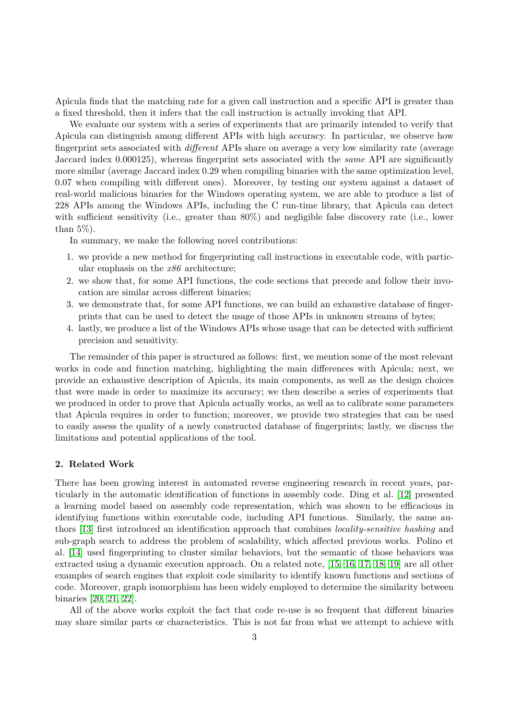Apìcula finds that the matching rate for a given call instruction and a specific API is greater than a fixed threshold, then it infers that the call instruction is actually invoking that API.

We evaluate our system with a series of experiments that are primarily intended to verify that Apìcula can distinguish among different APIs with high accuracy. In particular, we observe how fingerprint sets associated with *different* APIs share on average a very low similarity rate (average Jaccard index 0*.*000125), whereas fingerprint sets associated with the *same* API are significantly more similar (average Jaccard index 0*.*29 when compiling binaries with the same optimization level, 0*.*07 when compiling with different ones). Moreover, by testing our system against a dataset of real-world malicious binaries for the Windows operating system, we are able to produce a list of 228 APIs among the Windows APIs, including the C run-time library, that Apìcula can detect with sufficient sensitivity (i.e., greater than 80%) and negligible false discovery rate (i.e., lower than  $5\%$ ).

In summary, we make the following novel contributions:

- 1. we provide a new method for fingerprinting call instructions in executable code, with particular emphasis on the *x86* architecture;
- 2. we show that, for some API functions, the code sections that precede and follow their invocation are similar across different binaries;
- 3. we demonstrate that, for some API functions, we can build an exhaustive database of fingerprints that can be used to detect the usage of those APIs in unknown streams of bytes;
- 4. lastly, we produce a list of the Windows APIs whose usage that can be detected with sufficient precision and sensitivity.

The remainder of this paper is structured as follows: first, we mention some of the most relevant works in code and function matching, highlighting the main differences with Apìcula; next, we provide an exhaustive description of Apìcula, its main components, as well as the design choices that were made in order to maximize its accuracy; we then describe a series of experiments that we produced in order to prove that Apìcula actually works, as well as to calibrate some parameters that Apìcula requires in order to function; moreover, we provide two strategies that can be used to easily assess the quality of a newly constructed database of fingerprints; lastly, we discuss the limitations and potential applications of the tool.

## **2. Related Work**

There has been growing interest in automated reverse engineering research in recent years, particularly in the automatic identification of functions in assembly code. Ding et al. [\[12\]](#page-21-6) presented a learning model based on assembly code representation, which was shown to be efficacious in identifying functions within executable code, including API functions. Similarly, the same authors [\[13\]](#page-21-7) first introduced an identification approach that combines *locality-sensitive hashing* and sub-graph search to address the problem of scalability, which affected previous works. Polino et al. [\[14\]](#page-21-8) used fingerprinting to cluster similar behaviors, but the semantic of those behaviors was extracted using a dynamic execution approach. On a related note, [\[15,](#page-21-9) [16,](#page-21-10) [17,](#page-21-11) [18,](#page-21-12) [19\]](#page-21-13) are all other examples of search engines that exploit code similarity to identify known functions and sections of code. Moreover, graph isomorphism has been widely employed to determine the similarity between binaries [\[20,](#page-21-14) [21,](#page-21-15) [22\]](#page-21-16).

All of the above works exploit the fact that code re-use is so frequent that different binaries may share similar parts or characteristics. This is not far from what we attempt to achieve with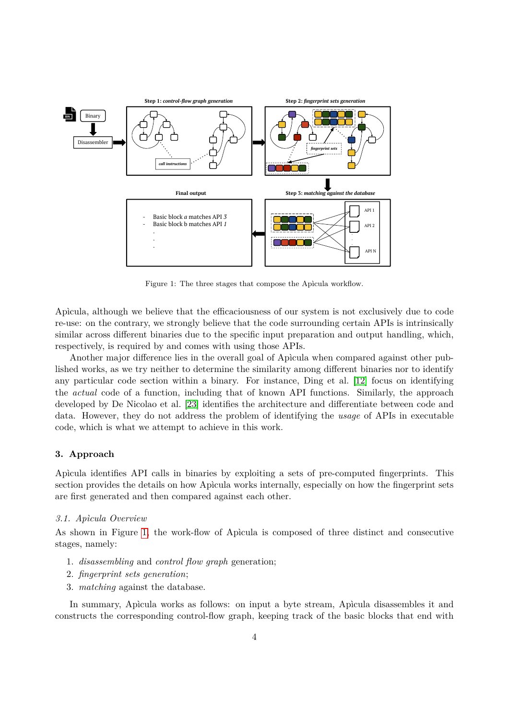

<span id="page-3-0"></span>Figure 1: The three stages that compose the Apìcula workflow.

Apìcula, although we believe that the efficaciousness of our system is not exclusively due to code re-use: on the contrary, we strongly believe that the code surrounding certain APIs is intrinsically similar across different binaries due to the specific input preparation and output handling, which, respectively, is required by and comes with using those APIs.

Another major difference lies in the overall goal of Apìcula when compared against other published works, as we try neither to determine the similarity among different binaries nor to identify any particular code section within a binary. For instance, Ding et al. [\[12\]](#page-21-6) focus on identifying the *actual* code of a function, including that of known API functions. Similarly, the approach developed by De Nicolao et al. [\[23\]](#page-21-17) identifies the architecture and differentiate between code and data. However, they do not address the problem of identifying the *usage* of APIs in executable code, which is what we attempt to achieve in this work.

# **3. Approach**

Apìcula identifies API calls in binaries by exploiting a sets of pre-computed fingerprints. This section provides the details on how Apìcula works internally, especially on how the fingerprint sets are first generated and then compared against each other.

## *3.1. Apìcula Overview*

As shown in Figure [1,](#page-3-0) the work-flow of Apìcula is composed of three distinct and consecutive stages, namely:

- 1. *disassembling* and *control flow graph* generation;
- 2. *fingerprint sets generation*;
- 3. *matching* against the database.

In summary, Apìcula works as follows: on input a byte stream, Apìcula disassembles it and constructs the corresponding control-flow graph, keeping track of the basic blocks that end with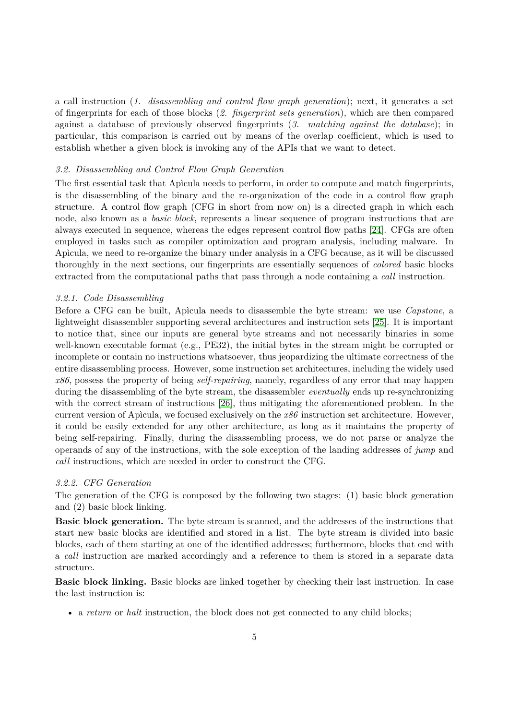a call instruction (*1. disassembling and control flow graph generation*); next, it generates a set of fingerprints for each of those blocks (*2. fingerprint sets generation*), which are then compared against a database of previously observed fingerprints (*3. matching against the database*); in particular, this comparison is carried out by means of the overlap coefficient, which is used to establish whether a given block is invoking any of the APIs that we want to detect.

## <span id="page-4-0"></span>*3.2. Disassembling and Control Flow Graph Generation*

The first essential task that Apìcula needs to perform, in order to compute and match fingerprints, is the disassembling of the binary and the re-organization of the code in a control flow graph structure. A control flow graph (CFG in short from now on) is a directed graph in which each node, also known as a *basic block*, represents a linear sequence of program instructions that are always executed in sequence, whereas the edges represent control flow paths [\[24\]](#page-21-18). CFGs are often employed in tasks such as compiler optimization and program analysis, including malware. In Apìcula, we need to re-organize the binary under analysis in a CFG because, as it will be discussed thoroughly in the next sections, our fingerprints are essentially sequences of *colored* basic blocks extracted from the computational paths that pass through a node containing a *call* instruction.

#### *3.2.1. Code Disassembling*

Before a CFG can be built, Apìcula needs to disassemble the byte stream: we use *Capstone*, a lightweight disassembler supporting several architectures and instruction sets [\[25\]](#page-21-19). It is important to notice that, since our inputs are general byte streams and not necessarily binaries in some well-known executable format (e.g., PE32), the initial bytes in the stream might be corrupted or incomplete or contain no instructions whatsoever, thus jeopardizing the ultimate correctness of the entire disassembling process. However, some instruction set architectures, including the widely used *x86*, possess the property of being *self-repairing*, namely, regardless of any error that may happen during the disassembling of the byte stream, the disassembler *eventually* ends up re-synchronizing with the correct stream of instructions [\[26\]](#page-21-20), thus mitigating the aforementioned problem. In the current version of Apìcula, we focused exclusively on the *x86* instruction set architecture. However, it could be easily extended for any other architecture, as long as it maintains the property of being self-repairing. Finally, during the disassembling process, we do not parse or analyze the operands of any of the instructions, with the sole exception of the landing addresses of *jump* and *call* instructions, which are needed in order to construct the CFG.

## *3.2.2. CFG Generation*

The generation of the CFG is composed by the following two stages: (1) basic block generation and (2) basic block linking.

**Basic block generation.** The byte stream is scanned, and the addresses of the instructions that start new basic blocks are identified and stored in a list. The byte stream is divided into basic blocks, each of them starting at one of the identified addresses; furthermore, blocks that end with a *call* instruction are marked accordingly and a reference to them is stored in a separate data structure.

**Basic block linking.** Basic blocks are linked together by checking their last instruction. In case the last instruction is:

• a *return* or *halt* instruction, the block does not get connected to any child blocks;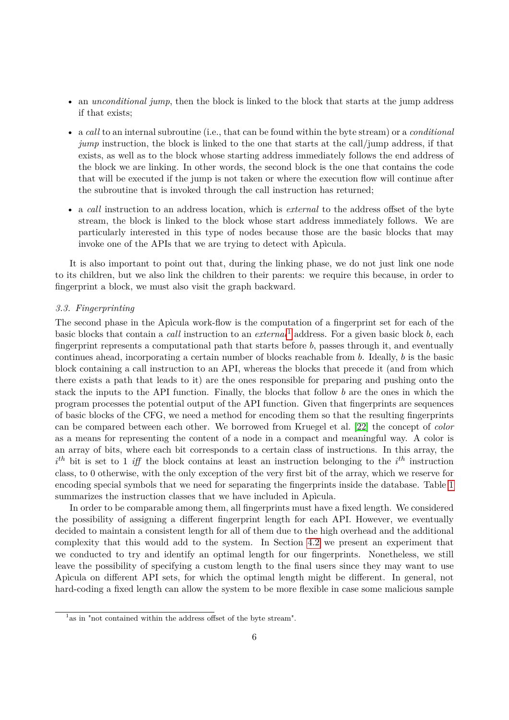- an *unconditional jump*, then the block is linked to the block that starts at the jump address if that exists;
- a *call* to an internal subroutine (i.e., that can be found within the byte stream) or a *conditional jump* instruction, the block is linked to the one that starts at the call/jump address, if that exists, as well as to the block whose starting address immediately follows the end address of the block we are linking. In other words, the second block is the one that contains the code that will be executed if the jump is not taken or where the execution flow will continue after the subroutine that is invoked through the call instruction has returned;
- a *call* instruction to an address location, which is *external* to the address offset of the byte stream, the block is linked to the block whose start address immediately follows. We are particularly interested in this type of nodes because those are the basic blocks that may invoke one of the APIs that we are trying to detect with Apìcula.

It is also important to point out that, during the linking phase, we do not just link one node to its children, but we also link the children to their parents: we require this because, in order to fingerprint a block, we must also visit the graph backward.

## *3.3. Fingerprinting*

The second phase in the Apìcula work-flow is the computation of a fingerprint set for each of the basic blocks that contain a *call* instruction to an *external*[1](#page-5-0) address. For a given basic block *b*, each fingerprint represents a computational path that starts before *b*, passes through it, and eventually continues ahead, incorporating a certain number of blocks reachable from *b*. Ideally, *b* is the basic block containing a call instruction to an API, whereas the blocks that precede it (and from which there exists a path that leads to it) are the ones responsible for preparing and pushing onto the stack the inputs to the API function. Finally, the blocks that follow *b* are the ones in which the program processes the potential output of the API function. Given that fingerprints are sequences of basic blocks of the CFG, we need a method for encoding them so that the resulting fingerprints can be compared between each other. We borrowed from Kruegel et al. [\[22\]](#page-21-16) the concept of *color* as a means for representing the content of a node in a compact and meaningful way. A color is an array of bits, where each bit corresponds to a certain class of instructions. In this array, the  $i<sup>th</sup>$  bit is set to 1 *iff* the block contains at least an instruction belonging to the  $i<sup>th</sup>$  instruction class, to 0 otherwise, with the only exception of the very first bit of the array, which we reserve for encoding special symbols that we need for separating the fingerprints inside the database. Table [1](#page-6-0) summarizes the instruction classes that we have included in Apìcula.

In order to be comparable among them, all fingerprints must have a fixed length. We considered the possibility of assigning a different fingerprint length for each API. However, we eventually decided to maintain a consistent length for all of them due to the high overhead and the additional complexity that this would add to the system. In Section [4.2](#page-13-0) we present an experiment that we conducted to try and identify an optimal length for our fingerprints. Nonetheless, we still leave the possibility of specifying a custom length to the final users since they may want to use Apìcula on different API sets, for which the optimal length might be different. In general, not hard-coding a fixed length can allow the system to be more flexible in case some malicious sample

<span id="page-5-0"></span><sup>&</sup>lt;sup>1</sup> as in "not contained within the address offset of the byte stream".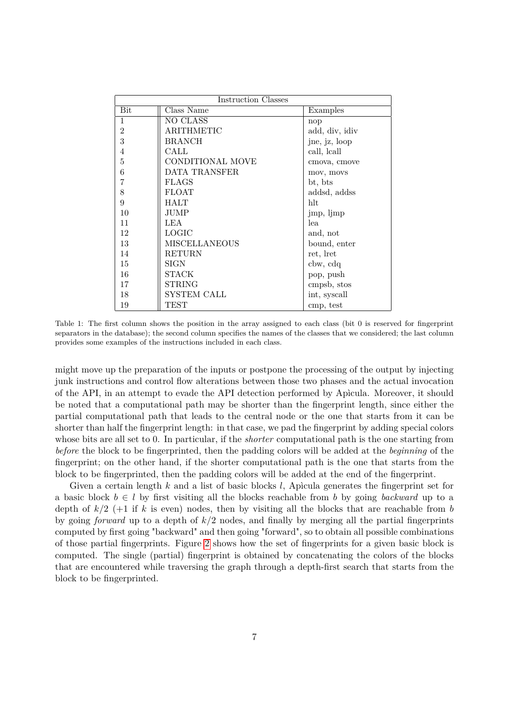<span id="page-6-0"></span>

| Instruction Classes |                         |                |  |  |  |
|---------------------|-------------------------|----------------|--|--|--|
| Bit                 | Class Name              | Examples       |  |  |  |
| $\mathbf{1}$        | NO CLASS                | nop            |  |  |  |
| $\mathfrak{D}$      | <b>ARITHMETIC</b>       | add, div, idiv |  |  |  |
| 3                   | <b>BRANCH</b>           | jne, jz, loop  |  |  |  |
| 4                   | CALL                    | call, lcall    |  |  |  |
| 5                   | <b>CONDITIONAL MOVE</b> | cmova, cmove   |  |  |  |
| 6                   | DATA TRANSFER           | mov, movs      |  |  |  |
| 7                   | <b>FLAGS</b>            | bt, bts        |  |  |  |
| 8                   | <b>FLOAT</b>            | addsd, addss   |  |  |  |
| 9                   | <b>HALT</b>             | hlt            |  |  |  |
| 10                  | <b>JUMP</b>             | jmp, ljmp      |  |  |  |
| 11                  | LEA                     | lea            |  |  |  |
| 12                  | <b>LOGIC</b>            | and, not       |  |  |  |
| 13                  | <b>MISCELLANEOUS</b>    | bound, enter   |  |  |  |
| 14                  | <b>RETURN</b>           | ret, lret      |  |  |  |
| 15                  | SIGN                    | cbw, cdq       |  |  |  |
| 16                  | <b>STACK</b>            | pop, push      |  |  |  |
| 17                  | <b>STRING</b>           | cmpsb, stos    |  |  |  |
| 18                  | SYSTEM CALL             | int, syscall   |  |  |  |
| 19                  | TEST                    | cmp, test      |  |  |  |

Table 1: The first column shows the position in the array assigned to each class (bit 0 is reserved for fingerprint separators in the database); the second column specifies the names of the classes that we considered; the last column provides some examples of the instructions included in each class.

might move up the preparation of the inputs or postpone the processing of the output by injecting junk instructions and control flow alterations between those two phases and the actual invocation of the API, in an attempt to evade the API detection performed by Apìcula. Moreover, it should be noted that a computational path may be shorter than the fingerprint length, since either the partial computational path that leads to the central node or the one that starts from it can be shorter than half the fingerprint length: in that case, we pad the fingerprint by adding special colors whose bits are all set to 0. In particular, if the *shorter* computational path is the one starting from *before* the block to be fingerprinted, then the padding colors will be added at the *beginning* of the fingerprint; on the other hand, if the shorter computational path is the one that starts from the block to be fingerprinted, then the padding colors will be added at the end of the fingerprint.

Given a certain length *k* and a list of basic blocks *l*, Apìcula generates the fingerprint set for a basic block  $b \in l$  by first visiting all the blocks reachable from *b* by going *backward* up to a depth of *k/*2 (+1 if *k* is even) nodes, then by visiting all the blocks that are reachable from *b* by going *forward* up to a depth of *k/*2 nodes, and finally by merging all the partial fingerprints computed by first going "backward" and then going "forward", so to obtain all possible combinations of those partial fingerprints. Figure [2](#page-7-0) shows how the set of fingerprints for a given basic block is computed. The single (partial) fingerprint is obtained by concatenating the colors of the blocks that are encountered while traversing the graph through a depth-first search that starts from the block to be fingerprinted.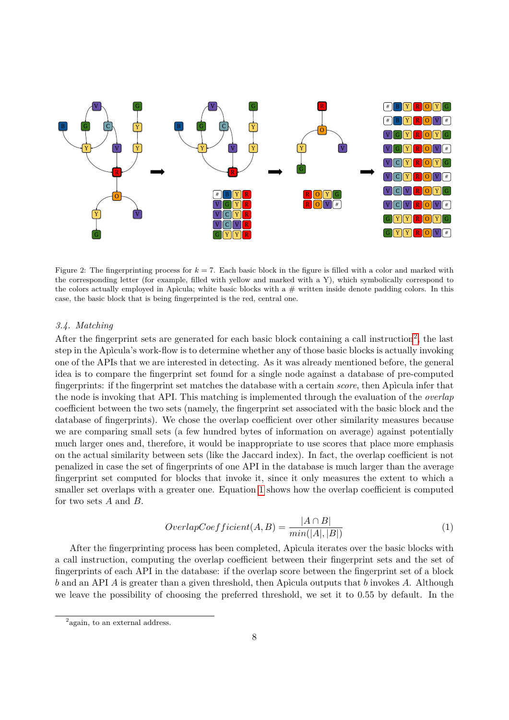

<span id="page-7-0"></span>Figure 2: The fingerprinting process for *k* = 7. Each basic block in the figure is filled with a color and marked with the corresponding letter (for example, filled with yellow and marked with a Y), which symbolically correspond to the colors actually employed in Apicula; white basic blocks with a  $#$  written inside denote padding colors. In this case, the basic block that is being fingerprinted is the red, central one.

#### *3.4. Matching*

After the fingerprint sets are generated for each basic block containing a call instruction<sup>[2](#page-7-1)</sup>, the last step in the Apìcula's work-flow is to determine whether any of those basic blocks is actually invoking one of the APIs that we are interested in detecting. As it was already mentioned before, the general idea is to compare the fingerprint set found for a single node against a database of pre-computed fingerprints: if the fingerprint set matches the database with a certain *score*, then Apìcula infer that the node is invoking that API. This matching is implemented through the evaluation of the *overlap* coefficient between the two sets (namely, the fingerprint set associated with the basic block and the database of fingerprints). We chose the overlap coefficient over other similarity measures because we are comparing small sets (a few hundred bytes of information on average) against potentially much larger ones and, therefore, it would be inappropriate to use scores that place more emphasis on the actual similarity between sets (like the Jaccard index). In fact, the overlap coefficient is not penalized in case the set of fingerprints of one API in the database is much larger than the average fingerprint set computed for blocks that invoke it, since it only measures the extent to which a smaller set overlaps with a greater one. Equation [1](#page-7-2) shows how the overlap coefficient is computed for two sets *A* and *B*.

<span id="page-7-2"></span>
$$
Overlap Coefficient(A, B) = \frac{|A \cap B|}{min(|A|, |B|)}
$$
(1)

After the fingerprinting process has been completed, Apìcula iterates over the basic blocks with a call instruction, computing the overlap coefficient between their fingerprint sets and the set of fingerprints of each API in the database: if the overlap score between the fingerprint set of a block *b* and an API *A* is greater than a given threshold, then Apìcula outputs that *b* invokes *A*. Although we leave the possibility of choosing the preferred threshold, we set it to 0*.*55 by default. In the

<span id="page-7-1"></span><sup>&</sup>lt;sup>2</sup> again, to an external address.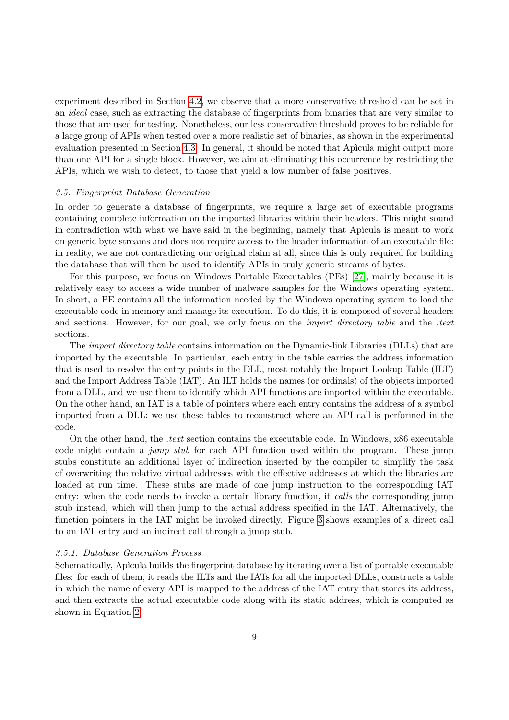experiment described in Section [4.2,](#page-13-0) we observe that a more conservative threshold can be set in an *ideal* case, such as extracting the database of fingerprints from binaries that are very similar to those that are used for testing. Nonetheless, our less conservative threshold proves to be reliable for a large group of APIs when tested over a more realistic set of binaries, as shown in the experimental evaluation presented in Section [4.3.](#page-14-0) In general, it should be noted that Apìcula might output more than one API for a single block. However, we aim at eliminating this occurrence by restricting the APIs, which we wish to detect, to those that yield a low number of false positives.

#### *3.5. Fingerprint Database Generation*

In order to generate a database of fingerprints, we require a large set of executable programs containing complete information on the imported libraries within their headers. This might sound in contradiction with what we have said in the beginning, namely that Apìcula is meant to work on generic byte streams and does not require access to the header information of an executable file: in reality, we are not contradicting our original claim at all, since this is only required for building the database that will then be used to identify APIs in truly generic streams of bytes.

For this purpose, we focus on Windows Portable Executables (PEs) [\[27\]](#page-22-0), mainly because it is relatively easy to access a wide number of malware samples for the Windows operating system. In short, a PE contains all the information needed by the Windows operating system to load the executable code in memory and manage its execution. To do this, it is composed of several headers and sections. However, for our goal, we only focus on the *import directory table* and the *.text* sections.

The *import directory table* contains information on the Dynamic-link Libraries (DLLs) that are imported by the executable. In particular, each entry in the table carries the address information that is used to resolve the entry points in the DLL, most notably the Import Lookup Table (ILT) and the Import Address Table (IAT). An ILT holds the names (or ordinals) of the objects imported from a DLL, and we use them to identify which API functions are imported within the executable. On the other hand, an IAT is a table of pointers where each entry contains the address of a symbol imported from a DLL: we use these tables to reconstruct where an API call is performed in the code.

On the other hand, the *.text* section contains the executable code. In Windows, x86 executable code might contain a *jump stub* for each API function used within the program. These jump stubs constitute an additional layer of indirection inserted by the compiler to simplify the task of overwriting the relative virtual addresses with the effective addresses at which the libraries are loaded at run time. These stubs are made of one jump instruction to the corresponding IAT entry: when the code needs to invoke a certain library function, it *calls* the corresponding jump stub instead, which will then jump to the actual address specified in the IAT. Alternatively, the function pointers in the IAT might be invoked directly. Figure [3](#page-9-0) shows examples of a direct call to an IAT entry and an indirect call through a jump stub.

#### *3.5.1. Database Generation Process*

Schematically, Apìcula builds the fingerprint database by iterating over a list of portable executable files: for each of them, it reads the ILTs and the IATs for all the imported DLLs, constructs a table in which the name of every API is mapped to the address of the IAT entry that stores its address, and then extracts the actual executable code along with its static address, which is computed as shown in Equation [2.](#page-9-1)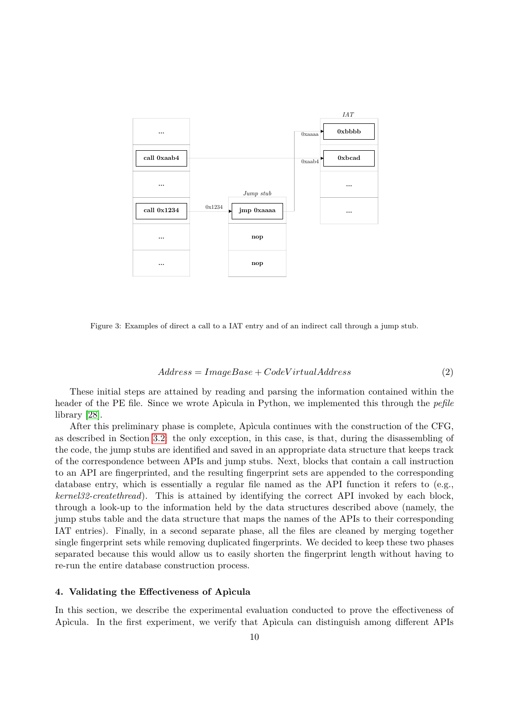

Figure 3: Examples of direct a call to a IAT entry and of an indirect call through a jump stub.

<span id="page-9-1"></span><span id="page-9-0"></span>
$$
Address = ImageBase + CodeVirtualAddress
$$
\n<sup>(2)</sup>

These initial steps are attained by reading and parsing the information contained within the header of the PE file. Since we wrote Apìcula in Python, we implemented this through the *pefile* library [\[28\]](#page-22-1).

After this preliminary phase is complete, Apìcula continues with the construction of the CFG, as described in Section [3.2:](#page-4-0) the only exception, in this case, is that, during the disassembling of the code, the jump stubs are identified and saved in an appropriate data structure that keeps track of the correspondence between APIs and jump stubs. Next, blocks that contain a call instruction to an API are fingerprinted, and the resulting fingerprint sets are appended to the corresponding database entry, which is essentially a regular file named as the API function it refers to (e.g., *kernel32-createthread*). This is attained by identifying the correct API invoked by each block, through a look-up to the information held by the data structures described above (namely, the jump stubs table and the data structure that maps the names of the APIs to their corresponding IAT entries). Finally, in a second separate phase, all the files are cleaned by merging together single fingerprint sets while removing duplicated fingerprints. We decided to keep these two phases separated because this would allow us to easily shorten the fingerprint length without having to re-run the entire database construction process.

#### <span id="page-9-2"></span>**4. Validating the Effectiveness of Apìcula**

In this section, we describe the experimental evaluation conducted to prove the effectiveness of Apìcula. In the first experiment, we verify that Apìcula can distinguish among different APIs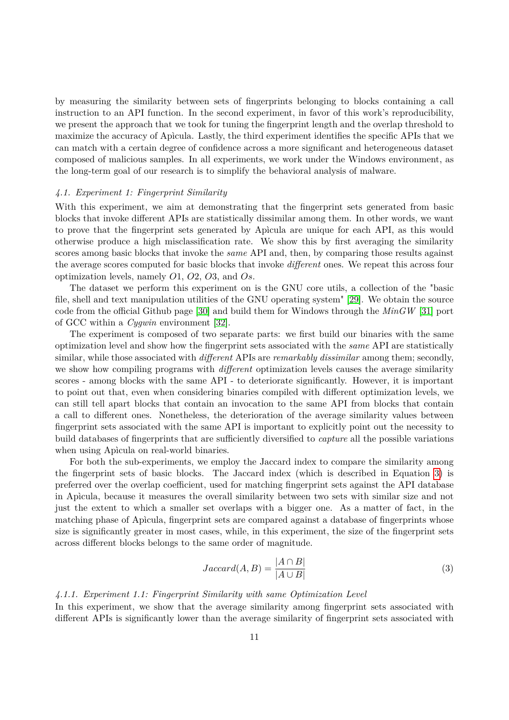by measuring the similarity between sets of fingerprints belonging to blocks containing a call instruction to an API function. In the second experiment, in favor of this work's reproducibility, we present the approach that we took for tuning the fingerprint length and the overlap threshold to maximize the accuracy of Apìcula. Lastly, the third experiment identifies the specific APIs that we can match with a certain degree of confidence across a more significant and heterogeneous dataset composed of malicious samples. In all experiments, we work under the Windows environment, as the long-term goal of our research is to simplify the behavioral analysis of malware.

#### <span id="page-10-1"></span>*4.1. Experiment 1: Fingerprint Similarity*

With this experiment, we aim at demonstrating that the fingerprint sets generated from basic blocks that invoke different APIs are statistically dissimilar among them. In other words, we want to prove that the fingerprint sets generated by Apìcula are unique for each API, as this would otherwise produce a high misclassification rate. We show this by first averaging the similarity scores among basic blocks that invoke the *same* API and, then, by comparing those results against the average scores computed for basic blocks that invoke *different* ones. We repeat this across four optimization levels, namely *O*1, *O*2, *O*3, and *Os*.

The dataset we perform this experiment on is the GNU core utils, a collection of the "basic file, shell and text manipulation utilities of the GNU operating system" [\[29\]](#page-22-2). We obtain the source code from the official Github page [\[30\]](#page-22-3) and build them for Windows through the *MinGW* [\[31\]](#page-22-4) port of GCC within a *Cygwin* environment [\[32\]](#page-22-5).

The experiment is composed of two separate parts: we first build our binaries with the same optimization level and show how the fingerprint sets associated with the *same* API are statistically similar, while those associated with *different* APIs are *remarkably dissimilar* among them; secondly, we show how compiling programs with *different* optimization levels causes the average similarity scores - among blocks with the same API - to deteriorate significantly. However, it is important to point out that, even when considering binaries compiled with different optimization levels, we can still tell apart blocks that contain an invocation to the same API from blocks that contain a call to different ones. Nonetheless, the deterioration of the average similarity values between fingerprint sets associated with the same API is important to explicitly point out the necessity to build databases of fingerprints that are sufficiently diversified to *capture* all the possible variations when using Apìcula on real-world binaries.

For both the sub-experiments, we employ the Jaccard index to compare the similarity among the fingerprint sets of basic blocks. The Jaccard index (which is described in Equation [3\)](#page-10-0) is preferred over the overlap coefficient, used for matching fingerprint sets against the API database in Apìcula, because it measures the overall similarity between two sets with similar size and not just the extent to which a smaller set overlaps with a bigger one. As a matter of fact, in the matching phase of Apìcula, fingerprint sets are compared against a database of fingerprints whose size is significantly greater in most cases, while, in this experiment, the size of the fingerprint sets across different blocks belongs to the same order of magnitude.

<span id="page-10-0"></span>
$$
Jaccard(A, B) = \frac{|A \cap B|}{|A \cup B|}
$$
\n(3)

## *4.1.1. Experiment 1.1: Fingerprint Similarity with same Optimization Level*

In this experiment, we show that the average similarity among fingerprint sets associated with different APIs is significantly lower than the average similarity of fingerprint sets associated with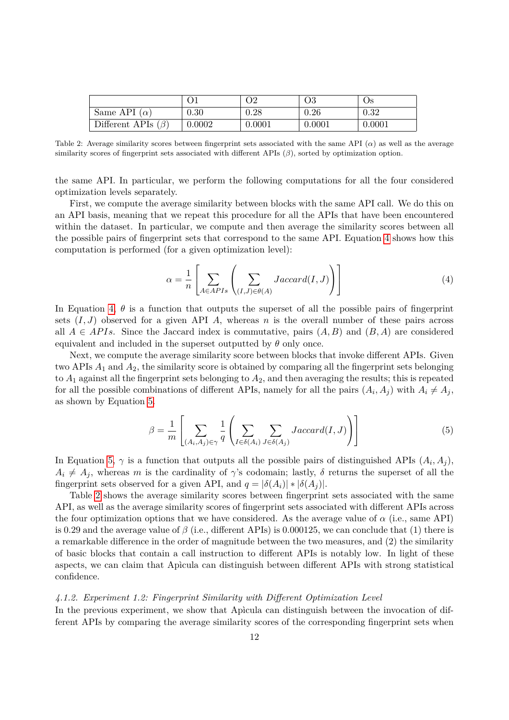|                          |        | Э2     |        | Os     |
|--------------------------|--------|--------|--------|--------|
| Same API $(\alpha)$      | 0.30   | 0.28   | 0.26   | 0.32   |
| Different APIs $(\beta)$ | 0.0002 | 0.0001 | 0.0001 | 0.0001 |

Table 2: Average similarity scores between fingerprint sets associated with the same API (*α*) as well as the average similarity scores of fingerprint sets associated with different APIs (*β*), sorted by optimization option.

the same API. In particular, we perform the following computations for all the four considered optimization levels separately.

First, we compute the average similarity between blocks with the same API call. We do this on an API basis, meaning that we repeat this procedure for all the APIs that have been encountered within the dataset. In particular, we compute and then average the similarity scores between all the possible pairs of fingerprint sets that correspond to the same API. Equation [4](#page-11-0) shows how this computation is performed (for a given optimization level):

<span id="page-11-2"></span><span id="page-11-0"></span>
$$
\alpha = \frac{1}{n} \left[ \sum_{A \in APIs} \left( \sum_{(I,J) \in \theta(A)} Jaccard(I,J) \right) \right]
$$
(4)

In Equation [4,](#page-11-0)  $\theta$  is a function that outputs the superset of all the possible pairs of fingerprint sets  $(I, J)$  observed for a given API *A*, whereas *n* is the overall number of these pairs across all  $A \in APIs$ . Since the Jaccard index is commutative, pairs  $(A, B)$  and  $(B, A)$  are considered equivalent and included in the superset outputted by  $\theta$  only once.

Next, we compute the average similarity score between blocks that invoke different APIs. Given two APIs *A*<sup>1</sup> and *A*2, the similarity score is obtained by comparing all the fingerprint sets belonging to *A*<sup>1</sup> against all the fingerprint sets belonging to *A*2, and then averaging the results; this is repeated for all the possible combinations of different APIs, namely for all the pairs  $(A_i, A_j)$  with  $A_i \neq A_j$ , as shown by Equation [5.](#page-11-1)

<span id="page-11-1"></span>
$$
\beta = \frac{1}{m} \left[ \sum_{(A_i, A_j) \in \gamma} \frac{1}{q} \left( \sum_{I \in \delta(A_i)} \sum_{J \in \delta(A_j)} Jaccard(I, J) \right) \right]
$$
(5)

In Equation [5,](#page-11-1)  $\gamma$  is a function that outputs all the possible pairs of distinguished APIs  $(A_i, A_j)$ ,  $A_i \neq A_j$ , whereas *m* is the cardinality of *γ*'s codomain; lastly, *δ* returns the superset of all the fingerprint sets observed for a given API, and  $q = |\delta(A_i)| * |\delta(A_i)|$ .

Table [2](#page-11-2) shows the average similarity scores between fingerprint sets associated with the same API, as well as the average similarity scores of fingerprint sets associated with different APIs across the four optimization options that we have considered. As the average value of  $\alpha$  (i.e., same API) is 0.29 and the average value of *β* (i.e., different APIs) is 0.000125, we can conclude that (1) there is a remarkable difference in the order of magnitude between the two measures, and (2) the similarity of basic blocks that contain a call instruction to different APIs is notably low. In light of these aspects, we can claim that Apìcula can distinguish between different APIs with strong statistical confidence.

#### *4.1.2. Experiment 1.2: Fingerprint Similarity with Different Optimization Level*

In the previous experiment, we show that Apìcula can distinguish between the invocation of different APIs by comparing the average similarity scores of the corresponding fingerprint sets when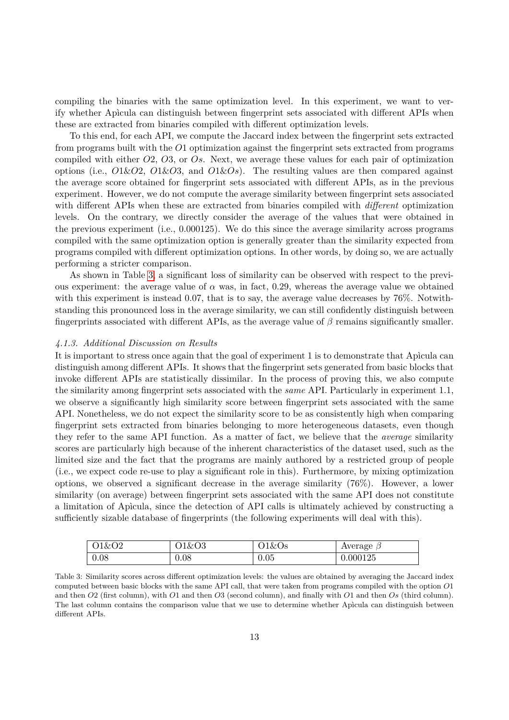compiling the binaries with the same optimization level. In this experiment, we want to verify whether Apìcula can distinguish between fingerprint sets associated with different APIs when these are extracted from binaries compiled with different optimization levels.

To this end, for each API, we compute the Jaccard index between the fingerprint sets extracted from programs built with the *O*1 optimization against the fingerprint sets extracted from programs compiled with either *O*2, *O*3, or *Os*. Next, we average these values for each pair of optimization options (i.e., *O*1&*O*2, *O*1&*O*3, and *O*1&*Os*). The resulting values are then compared against the average score obtained for fingerprint sets associated with different APIs, as in the previous experiment. However, we do not compute the average similarity between fingerprint sets associated with different APIs when these are extracted from binaries compiled with *different* optimization levels. On the contrary, we directly consider the average of the values that were obtained in the previous experiment (i.e., 0*.*000125). We do this since the average similarity across programs compiled with the same optimization option is generally greater than the similarity expected from programs compiled with different optimization options. In other words, by doing so, we are actually performing a stricter comparison.

As shown in Table [3,](#page-12-0) a significant loss of similarity can be observed with respect to the previous experiment: the average value of  $\alpha$  was, in fact, 0.29, whereas the average value we obtained with this experiment is instead 0.07, that is to say, the average value decreases by 76%. Notwithstanding this pronounced loss in the average similarity, we can still confidently distinguish between fingerprints associated with different APIs, as the average value of *β* remains significantly smaller.

#### *4.1.3. Additional Discussion on Results*

It is important to stress once again that the goal of experiment 1 is to demonstrate that Apìcula can distinguish among different APIs. It shows that the fingerprint sets generated from basic blocks that invoke different APIs are statistically dissimilar. In the process of proving this, we also compute the similarity among fingerprint sets associated with the *same* API. Particularly in experiment 1.1, we observe a significantly high similarity score between fingerprint sets associated with the same API. Nonetheless, we do not expect the similarity score to be as consistently high when comparing fingerprint sets extracted from binaries belonging to more heterogeneous datasets, even though they refer to the same API function. As a matter of fact, we believe that the *average* similarity scores are particularly high because of the inherent characteristics of the dataset used, such as the limited size and the fact that the programs are mainly authored by a restricted group of people (i.e., we expect code re-use to play a significant role in this). Furthermore, by mixing optimization options, we observed a significant decrease in the average similarity (76%). However, a lower similarity (on average) between fingerprint sets associated with the same API does not constitute a limitation of Apìcula, since the detection of API calls is ultimately achieved by constructing a sufficiently sizable database of fingerprints (the following experiments will deal with this).

<span id="page-12-0"></span>

| O1&O2 | 01&03 | $01\&Os$ | Average $\beta$ |
|-------|-------|----------|-----------------|
| 0.08  | 0.08  | 0.05     | 0.000125        |

Table 3: Similarity scores across different optimization levels: the values are obtained by averaging the Jaccard index computed between basic blocks with the same API call, that were taken from programs compiled with the option *O*1 and then *O*2 (first column), with *O*1 and then *O*3 (second column), and finally with *O*1 and then *Os* (third column). The last column contains the comparison value that we use to determine whether Apìcula can distinguish between different APIs.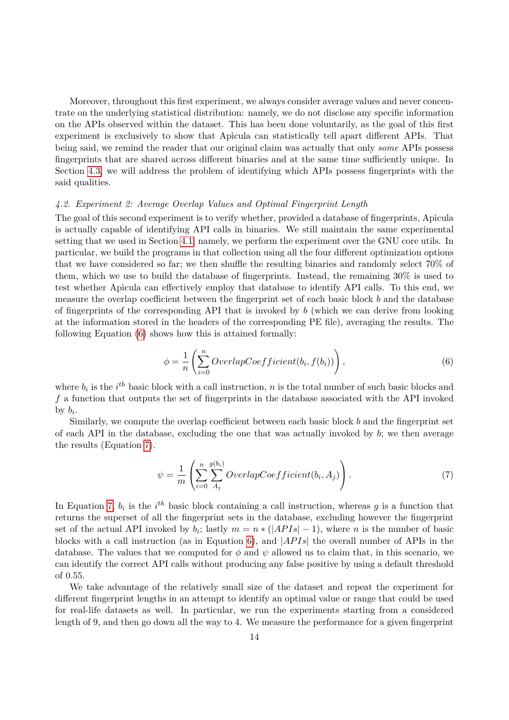Moreover, throughout this first experiment, we always consider average values and never concentrate on the underlying statistical distribution: namely, we do not disclose any specific information on the APIs observed within the dataset. This has been done voluntarily, as the goal of this first experiment is exclusively to show that Apìcula can statistically tell apart different APIs. That being said, we remind the reader that our original claim was actually that only *some* APIs possess fingerprints that are shared across different binaries and at the same time sufficiently unique. In Section [4.3,](#page-14-0) we will address the problem of identifying which APIs possess fingerprints with the said qualities.

## <span id="page-13-0"></span>*4.2. Experiment 2: Average Overlap Values and Optimal Fingerprint Length*

The goal of this second experiment is to verify whether, provided a database of fingerprints, Apìcula is actually capable of identifying API calls in binaries. We still maintain the same experimental setting that we used in Section [4.1;](#page-10-1) namely, we perform the experiment over the GNU core utils. In particular, we build the programs in that collection using all the four different optimization options that we have considered so far; we then shuffle the resulting binaries and randomly select 70% of them, which we use to build the database of fingerprints. Instead, the remaining 30% is used to test whether Apìcula can effectively employ that database to identify API calls. To this end, we measure the overlap coefficient between the fingerprint set of each basic block *b* and the database of fingerprints of the corresponding API that is invoked by *b* (which we can derive from looking at the information stored in the headers of the corresponding PE file), averaging the results. The following Equation [\(6\)](#page-13-1) shows how this is attained formally:

<span id="page-13-1"></span>
$$
\phi = \frac{1}{n} \left( \sum_{i=0}^{n} Overlap Coefficient(b_i, f(b_i)) \right), \qquad (6)
$$

where  $b_i$  is the  $i^{th}$  basic block with a call instruction, *n* is the total number of such basic blocks and *f* a function that outputs the set of fingerprints in the database associated with the API invoked by  $b_i$ .

Similarly, we compute the overlap coefficient between each basic block *b* and the fingerprint set of each API in the database, excluding the one that was actually invoked by *b*; we then average the results (Equation [7\)](#page-13-2).

<span id="page-13-2"></span>
$$
\psi = \frac{1}{m} \left( \sum_{i=0}^{n} \sum_{A_j}^{g(b_i)} Overlap Coefficient(b_i, A_j) \right). \tag{7}
$$

In Equation [7,](#page-13-2)  $b_i$  is the  $i^{th}$  basic block containing a call instruction, whereas  $g$  is a function that returns the superset of all the fingerprint sets in the database, excluding however the fingerprint set of the actual API invoked by  $b_i$ ; lastly  $m = n * (|APIs| - 1)$ , where *n* is the number of basic blocks with a call instruction (as in Equation [6\)](#page-13-1), and |*AP Is*| the overall number of APIs in the database. The values that we computed for  $\phi$  and  $\psi$  allowed us to claim that, in this scenario, we can identify the correct API calls without producing any false positive by using a default threshold of 0*.*55.

We take advantage of the relatively small size of the dataset and repeat the experiment for different fingerprint lengths in an attempt to identify an optimal value or range that could be used for real-life datasets as well. In particular, we run the experiments starting from a considered length of 9, and then go down all the way to 4. We measure the performance for a given fingerprint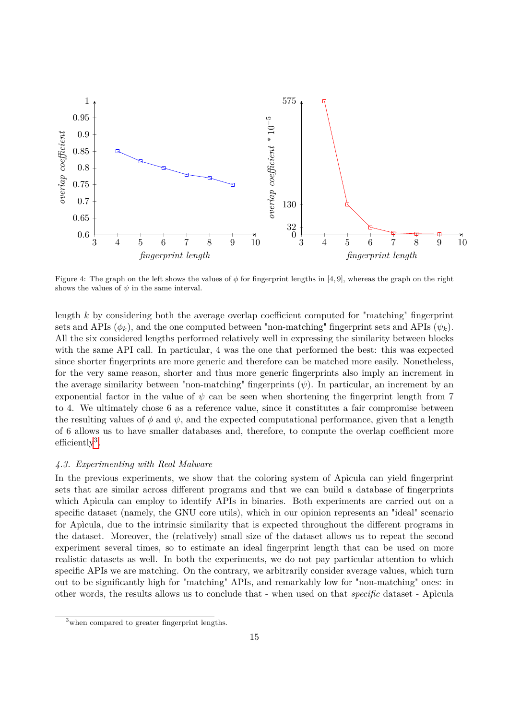

Figure 4: The graph on the left shows the values of  $\phi$  for fingerprint lengths in [4, 9], whereas the graph on the right shows the values of  $\psi$  in the same interval.

length *k* by considering both the average overlap coefficient computed for "matching" fingerprint sets and APIs  $(\phi_k)$ , and the one computed between "non-matching" fingerprint sets and APIs  $(\psi_k)$ . All the six considered lengths performed relatively well in expressing the similarity between blocks with the same API call. In particular, 4 was the one that performed the best: this was expected since shorter fingerprints are more generic and therefore can be matched more easily. Nonetheless, for the very same reason, shorter and thus more generic fingerprints also imply an increment in the average similarity between "non-matching" fingerprints  $(\psi)$ . In particular, an increment by an exponential factor in the value of  $\psi$  can be seen when shortening the fingerprint length from 7 to 4. We ultimately chose 6 as a reference value, since it constitutes a fair compromise between the resulting values of  $\phi$  and  $\psi$ , and the expected computational performance, given that a length of 6 allows us to have smaller databases and, therefore, to compute the overlap coefficient more efficiently<sup>[3](#page-14-1)</sup>.

## <span id="page-14-0"></span>*4.3. Experimenting with Real Malware*

In the previous experiments, we show that the coloring system of Apìcula can yield fingerprint sets that are similar across different programs and that we can build a database of fingerprints which Apìcula can employ to identify APIs in binaries. Both experiments are carried out on a specific dataset (namely, the GNU core utils), which in our opinion represents an "ideal" scenario for Apìcula, due to the intrinsic similarity that is expected throughout the different programs in the dataset. Moreover, the (relatively) small size of the dataset allows us to repeat the second experiment several times, so to estimate an ideal fingerprint length that can be used on more realistic datasets as well. In both the experiments, we do not pay particular attention to which specific APIs we are matching. On the contrary, we arbitrarily consider average values, which turn out to be significantly high for "matching" APIs, and remarkably low for "non-matching" ones: in other words, the results allows us to conclude that - when used on that *specific* dataset - Apìcula

<span id="page-14-1"></span><sup>&</sup>lt;sup>3</sup>when compared to greater fingerprint lengths.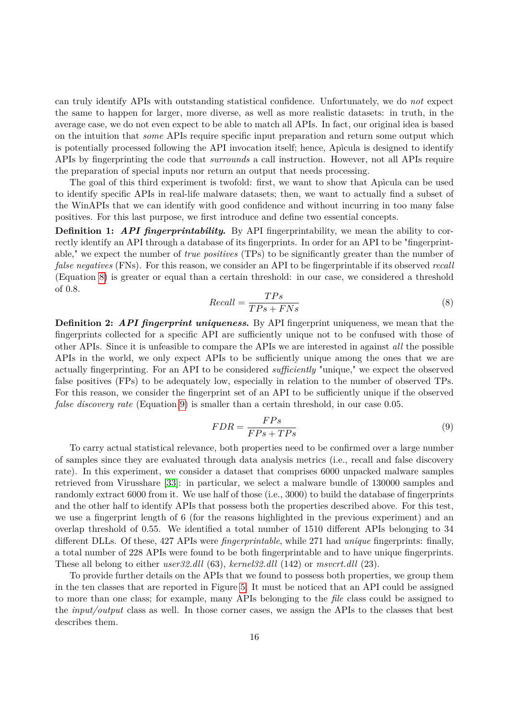can truly identify APIs with outstanding statistical confidence. Unfortunately, we do *not* expect the same to happen for larger, more diverse, as well as more realistic datasets: in truth, in the average case, we do not even expect to be able to match all APIs. In fact, our original idea is based on the intuition that *some* APIs require specific input preparation and return some output which is potentially processed following the API invocation itself; hence, Apìcula is designed to identify APIs by fingerprinting the code that *surrounds* a call instruction. However, not all APIs require the preparation of special inputs nor return an output that needs processing.

The goal of this third experiment is twofold: first, we want to show that Apìcula can be used to identify specific APIs in real-life malware datasets; then, we want to actually find a subset of the WinAPIs that we can identify with good confidence and without incurring in too many false positives. For this last purpose, we first introduce and define two essential concepts.

**Definition 1:** API fingerprintability. By API fingerprintability, we mean the ability to correctly identify an API through a database of its fingerprints. In order for an API to be "fingerprintable," we expect the number of *true positives* (TPs) to be significantly greater than the number of *false negatives* (FNs). For this reason, we consider an API to be fingerprintable if its observed *recall* (Equation [8\)](#page-15-0) is greater or equal than a certain threshold: in our case, we considered a threshold of 0*.*8.

<span id="page-15-0"></span>
$$
Recall = \frac{TPs}{TPs + FNs} \tag{8}
$$

**Definition 2:** *API fingerprint uniqueness***.** By API fingerprint uniqueness, we mean that the fingerprints collected for a specific API are sufficiently unique not to be confused with those of other APIs. Since it is unfeasible to compare the APIs we are interested in against *all* the possible APIs in the world, we only expect APIs to be sufficiently unique among the ones that we are actually fingerprinting. For an API to be considered *sufficiently* "unique," we expect the observed false positives (FPs) to be adequately low, especially in relation to the number of observed TPs. For this reason, we consider the fingerprint set of an API to be sufficiently unique if the observed *false discovery rate* (Equation [9\)](#page-15-1) is smaller than a certain threshold, in our case 0*.*05.

<span id="page-15-1"></span>
$$
FDR = \frac{FPs}{FPs + TPs} \tag{9}
$$

To carry actual statistical relevance, both properties need to be confirmed over a large number of samples since they are evaluated through data analysis metrics (i.e., recall and false discovery rate). In this experiment, we consider a dataset that comprises 6000 unpacked malware samples retrieved from Virusshare [\[33\]](#page-22-6): in particular, we select a malware bundle of 130000 samples and randomly extract 6000 from it. We use half of those (i.e., 3000) to build the database of fingerprints and the other half to identify APIs that possess both the properties described above. For this test, we use a fingerprint length of 6 (for the reasons highlighted in the previous experiment) and an overlap threshold of 0*.*55. We identified a total number of 1510 different APIs belonging to 34 different DLLs. Of these, 427 APIs were *fingerprintable*, while 271 had *unique* fingerprints: finally, a total number of 228 APIs were found to be both fingerprintable and to have unique fingerprints. These all belong to either *user32.dll* (63), *kernel32.dll* (142) or *msvcrt.dll* (23).

To provide further details on the APIs that we found to possess both properties, we group them in the ten classes that are reported in Figure [5.](#page-16-0) It must be noticed that an API could be assigned to more than one class; for example, many APIs belonging to the *file* class could be assigned to the *input/output* class as well. In those corner cases, we assign the APIs to the classes that best describes them.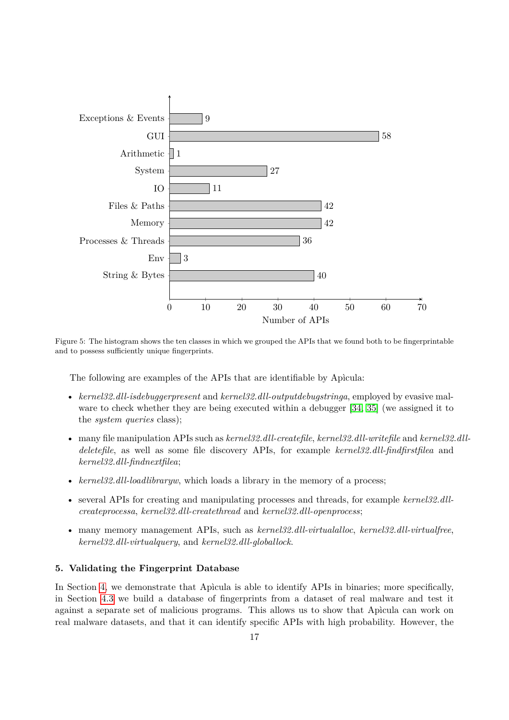

Figure 5: The histogram shows the ten classes in which we grouped the APIs that we found both to be fingerprintable and to possess sufficiently unique fingerprints.

<span id="page-16-0"></span>The following are examples of the APIs that are identifiable by Apìcula:

- *kernel32.dll-isdebuggerpresent* and *kernel32.dll-outputdebugstringa*, employed by evasive mal-ware to check whether they are being executed within a debugger [\[34,](#page-22-7) [35\]](#page-22-8) (we assigned it to the *system queries* class);
- many file manipulation APIs such as *kernel32.dll-createfile*, *kernel32.dll-writefile* and *kernel32.dlldeletefile*, as well as some file discovery APIs, for example *kernel32.dll-findfirstfilea* and *kernel32.dll-findnextfilea*;
- *kernel32.dll-loadlibraryw*, which loads a library in the memory of a process;
- several APIs for creating and manipulating processes and threads, for example *kernel32.dllcreateprocessa*, *kernel32.dll-createthread* and *kernel32.dll-openprocess*;
- many memory management APIs, such as *kernel32.dll-virtualalloc*, *kernel32.dll-virtualfree*, *kernel32.dll-virtualquery*, and *kernel32.dll-globallock*.

# **5. Validating the Fingerprint Database**

In Section [4,](#page-9-2) we demonstrate that Apìcula is able to identify APIs in binaries; more specifically, in Section [4.3](#page-14-0) we build a database of fingerprints from a dataset of real malware and test it against a separate set of malicious programs. This allows us to show that Apìcula can work on real malware datasets, and that it can identify specific APIs with high probability. However, the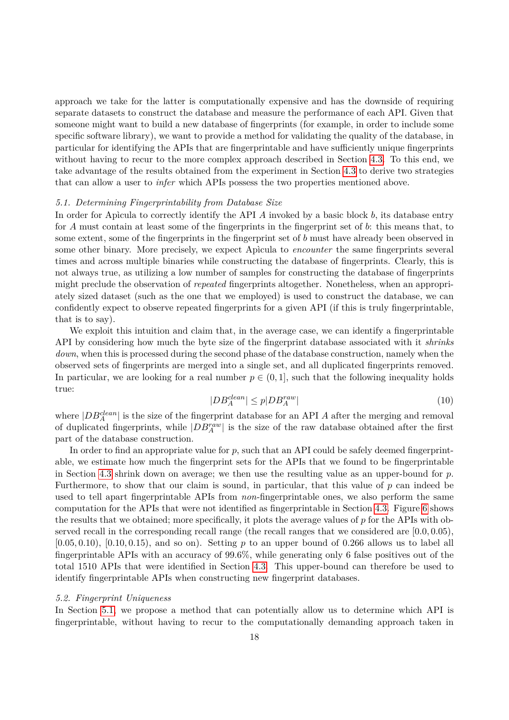approach we take for the latter is computationally expensive and has the downside of requiring separate datasets to construct the database and measure the performance of each API. Given that someone might want to build a new database of fingerprints (for example, in order to include some specific software library), we want to provide a method for validating the quality of the database, in particular for identifying the APIs that are fingerprintable and have sufficiently unique fingerprints without having to recur to the more complex approach described in Section [4.3.](#page-14-0) To this end, we take advantage of the results obtained from the experiment in Section [4.3](#page-14-0) to derive two strategies that can allow a user to *infer* which APIs possess the two properties mentioned above.

#### <span id="page-17-0"></span>*5.1. Determining Fingerprintability from Database Size*

In order for Apìcula to correctly identify the API *A* invoked by a basic block *b*, its database entry for *A* must contain at least some of the fingerprints in the fingerprint set of *b*: this means that, to some extent, some of the fingerprints in the fingerprint set of *b* must have already been observed in some other binary. More precisely, we expect Apìcula to *encounter* the same fingerprints several times and across multiple binaries while constructing the database of fingerprints. Clearly, this is not always true, as utilizing a low number of samples for constructing the database of fingerprints might preclude the observation of *repeated* fingerprints altogether. Nonetheless, when an appropriately sized dataset (such as the one that we employed) is used to construct the database, we can confidently expect to observe repeated fingerprints for a given API (if this is truly fingerprintable, that is to say).

We exploit this intuition and claim that, in the average case, we can identify a fingerprintable API by considering how much the byte size of the fingerprint database associated with it *shrinks down*, when this is processed during the second phase of the database construction, namely when the observed sets of fingerprints are merged into a single set, and all duplicated fingerprints removed. In particular, we are looking for a real number  $p \in (0,1]$ , such that the following inequality holds true:

$$
|DB_A^{clean}| \le p|DB_A^{raw}| \tag{10}
$$

where  $|DB_A^{clean}|$  is the size of the fingerprint database for an API *A* after the merging and removal of duplicated fingerprints, while  $|DB_A^{raw}|$  is the size of the raw database obtained after the first part of the database construction.

In order to find an appropriate value for *p*, such that an API could be safely deemed fingerprintable, we estimate how much the fingerprint sets for the APIs that we found to be fingerprintable in Section [4.3](#page-14-0) shrink down on average; we then use the resulting value as an upper-bound for *p*. Furthermore, to show that our claim is sound, in particular, that this value of *p* can indeed be used to tell apart fingerprintable APIs from *non*-fingerprintable ones, we also perform the same computation for the APIs that were not identified as fingerprintable in Section [4.3.](#page-14-0) Figure [6](#page-18-0) shows the results that we obtained; more specifically, it plots the average values of *p* for the APIs with observed recall in the corresponding recall range (the recall ranges that we considered are [0*.*0*,* 0*.*05),  $[0.05, 0.10)$ ,  $[0.10, 0.15)$ , and so on). Setting *p* to an upper bound of 0.266 allows us to label all fingerprintable APIs with an accuracy of 99*.*6%, while generating only 6 false positives out of the total 1510 APIs that were identified in Section [4.3.](#page-14-0) This upper-bound can therefore be used to identify fingerprintable APIs when constructing new fingerprint databases.

#### *5.2. Fingerprint Uniqueness*

In Section [5.1,](#page-17-0) we propose a method that can potentially allow us to determine which API is fingerprintable, without having to recur to the computationally demanding approach taken in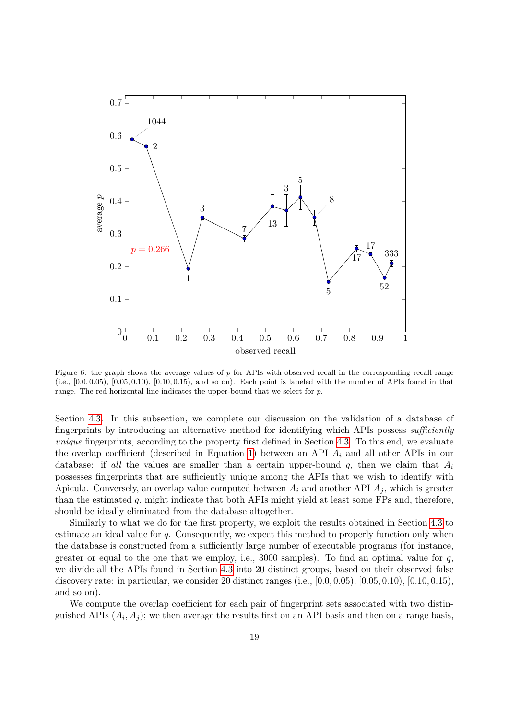

<span id="page-18-0"></span>Figure 6: the graph shows the average values of p for APIs with observed recall in the corresponding recall range (i.e., [0*.*0*,* 0*.*05), [0*.*05*,* 0*.*10), [0*.*10*,* 0*.*15), and so on). Each point is labeled with the number of APIs found in that range. The red horizontal line indicates the upper-bound that we select for *p*.

Section [4.3.](#page-14-0) In this subsection, we complete our discussion on the validation of a database of fingerprints by introducing an alternative method for identifying which APIs possess *sufficiently unique* fingerprints, according to the property first defined in Section [4.3.](#page-14-0) To this end, we evaluate the overlap coefficient (described in Equation [1\)](#page-7-2) between an API  $A_i$  and all other APIs in our database: if *all* the values are smaller than a certain upper-bound *q*, then we claim that *A<sup>i</sup>* possesses fingerprints that are sufficiently unique among the APIs that we wish to identify with Apìcula. Conversely, an overlap value computed between *A<sup>i</sup>* and another API *A<sup>j</sup>* , which is greater than the estimated *q*, might indicate that both APIs might yield at least some FPs and, therefore, should be ideally eliminated from the database altogether.

Similarly to what we do for the first property, we exploit the results obtained in Section [4.3](#page-14-0) to estimate an ideal value for *q*. Consequently, we expect this method to properly function only when the database is constructed from a sufficiently large number of executable programs (for instance, greater or equal to the one that we employ, i.e., 3000 samples). To find an optimal value for *q*, we divide all the APIs found in Section [4.3](#page-14-0) into 20 distinct groups, based on their observed false discovery rate: in particular, we consider 20 distinct ranges (i.e., [0*.*0*,* 0*.*05), [0*.*05*,* 0*.*10), [0*.*10*,* 0*.*15), and so on).

We compute the overlap coefficient for each pair of fingerprint sets associated with two distinguished APIs  $(A_i, A_j)$ ; we then average the results first on an API basis and then on a range basis,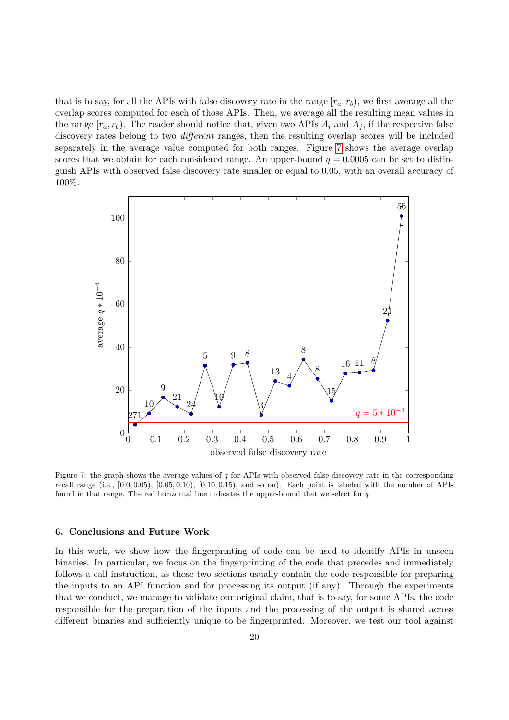that is to say, for all the APIs with false discovery rate in the range  $[r_a, r_b)$ , we first average all the overlap scores computed for each of those APIs. Then, we average all the resulting mean values in the range  $[r_a, r_b)$ . The reader should notice that, given two APIs  $A_i$  and  $A_j$ , if the respective false discovery rates belong to two *different* ranges, then the resulting overlap scores will be included separately in the average value computed for both ranges. Figure [7](#page-19-0) shows the average overlap scores that we obtain for each considered range. An upper-bound  $q = 0.0005$  can be set to distinguish APIs with observed false discovery rate smaller or equal to 0*.*05, with an overall accuracy of 100%.



<span id="page-19-0"></span>Figure 7: the graph shows the average values of *q* for APIs with observed false discovery rate in the corresponding recall range (i.e., [0*.*0*,* 0*.*05), [0*.*05*,* 0*.*10), [0*.*10*,* 0*.*15), and so on). Each point is labeled with the number of APIs found in that range. The red horizontal line indicates the upper-bound that we select for *q*.

#### **6. Conclusions and Future Work**

In this work, we show how the fingerprinting of code can be used to identify APIs in unseen binaries. In particular, we focus on the fingerprinting of the code that precedes and immediately follows a call instruction, as those two sections usually contain the code responsible for preparing the inputs to an API function and for processing its output (if any). Through the experiments that we conduct, we manage to validate our original claim, that is to say, for some APIs, the code responsible for the preparation of the inputs and the processing of the output is shared across different binaries and sufficiently unique to be fingerprinted. Moreover, we test our tool against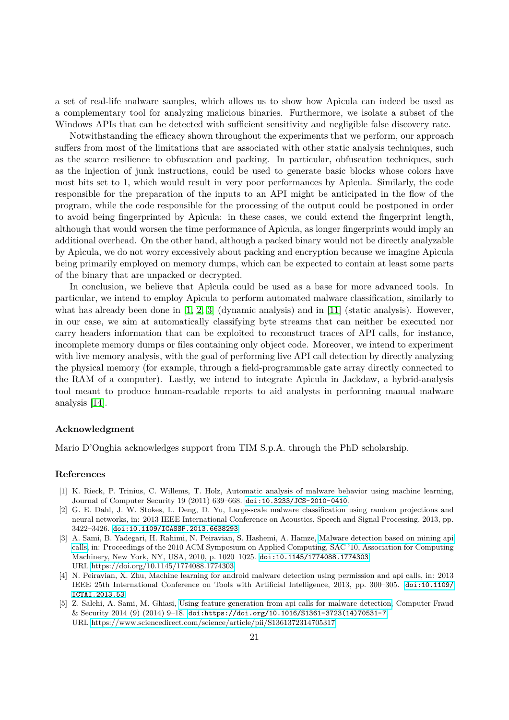a set of real-life malware samples, which allows us to show how Apìcula can indeed be used as a complementary tool for analyzing malicious binaries. Furthermore, we isolate a subset of the Windows APIs that can be detected with sufficient sensitivity and negligible false discovery rate.

Notwithstanding the efficacy shown throughout the experiments that we perform, our approach suffers from most of the limitations that are associated with other static analysis techniques, such as the scarce resilience to obfuscation and packing. In particular, obfuscation techniques, such as the injection of junk instructions, could be used to generate basic blocks whose colors have most bits set to 1, which would result in very poor performances by Apìcula. Similarly, the code responsible for the preparation of the inputs to an API might be anticipated in the flow of the program, while the code responsible for the processing of the output could be postponed in order to avoid being fingerprinted by Apìcula: in these cases, we could extend the fingerprint length, although that would worsen the time performance of Apìcula, as longer fingerprints would imply an additional overhead. On the other hand, although a packed binary would not be directly analyzable by Apìcula, we do not worry excessively about packing and encryption because we imagine Apìcula being primarily employed on memory dumps, which can be expected to contain at least some parts of the binary that are unpacked or decrypted.

In conclusion, we believe that Apìcula could be used as a base for more advanced tools. In particular, we intend to employ Apìcula to perform automated malware classification, similarly to what has already been done in  $[1, 2, 3]$  $[1, 2, 3]$  $[1, 2, 3]$  (dynamic analysis) and in  $[11]$  (static analysis). However, in our case, we aim at automatically classifying byte streams that can neither be executed nor carry headers information that can be exploited to reconstruct traces of API calls, for instance, incomplete memory dumps or files containing only object code. Moreover, we intend to experiment with live memory analysis, with the goal of performing live API call detection by directly analyzing the physical memory (for example, through a field-programmable gate array directly connected to the RAM of a computer). Lastly, we intend to integrate Apìcula in Jackdaw, a hybrid-analysis tool meant to produce human-readable reports to aid analysts in performing manual malware analysis [\[14\]](#page-21-8).

#### **Acknowledgment**

Mario D'Onghia acknowledges support from TIM S.p.A. through the PhD scholarship.

## **References**

- <span id="page-20-0"></span>[1] K. Rieck, P. Trinius, C. Willems, T. Holz, Automatic analysis of malware behavior using machine learning, Journal of Computer Security 19 (2011) 639–668. [doi:10.3233/JCS-2010-0410](https://doi.org/10.3233/JCS-2010-0410).
- <span id="page-20-1"></span>[2] G. E. Dahl, J. W. Stokes, L. Deng, D. Yu, Large-scale malware classification using random projections and neural networks, in: 2013 IEEE International Conference on Acoustics, Speech and Signal Processing, 2013, pp. 3422–3426. [doi:10.1109/ICASSP.2013.6638293](https://doi.org/10.1109/ICASSP.2013.6638293).
- <span id="page-20-2"></span>[3] A. Sami, B. Yadegari, H. Rahimi, N. Peiravian, S. Hashemi, A. Hamze, [Malware detection based on mining api](https://doi.org/10.1145/1774088.1774303) [calls,](https://doi.org/10.1145/1774088.1774303) in: Proceedings of the 2010 ACM Symposium on Applied Computing, SAC '10, Association for Computing Machinery, New York, NY, USA, 2010, p. 1020–1025. [doi:10.1145/1774088.1774303](https://doi.org/10.1145/1774088.1774303). URL<https://doi.org/10.1145/1774088.1774303>
- <span id="page-20-3"></span>[4] N. Peiravian, X. Zhu, Machine learning for android malware detection using permission and api calls, in: 2013 IEEE 25th International Conference on Tools with Artificial Intelligence, 2013, pp. 300–305. [doi:10.1109/](https://doi.org/10.1109/ICTAI.2013.53) [ICTAI.2013.53](https://doi.org/10.1109/ICTAI.2013.53).
- <span id="page-20-4"></span>[5] Z. Salehi, A. Sami, M. Ghiasi, [Using feature generation from api calls for malware detection,](https://www.sciencedirect.com/science/article/pii/S1361372314705317) Computer Fraud & Security 2014 (9) (2014) 9–18. [doi:https://doi.org/10.1016/S1361-3723\(14\)70531-7](https://doi.org/https://doi.org/10.1016/S1361-3723(14)70531-7). URL<https://www.sciencedirect.com/science/article/pii/S1361372314705317>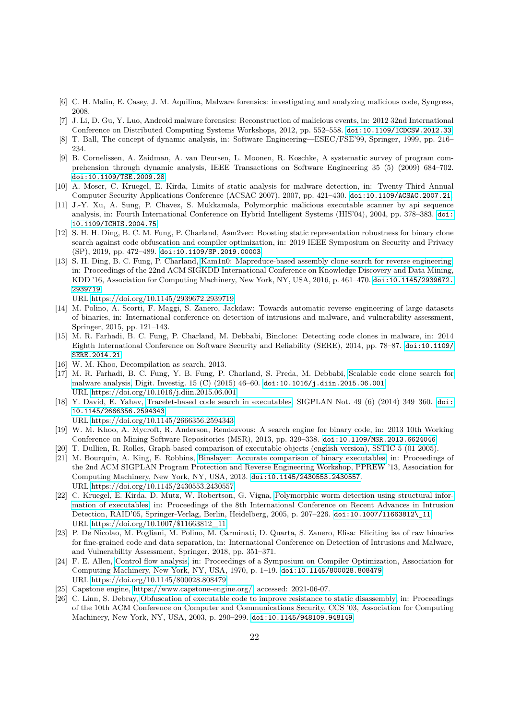- <span id="page-21-0"></span>[6] C. H. Malin, E. Casey, J. M. Aquilina, Malware forensics: investigating and analyzing malicious code, Syngress, 2008.
- <span id="page-21-1"></span>[7] J. Li, D. Gu, Y. Luo, Android malware forensics: Reconstruction of malicious events, in: 2012 32nd International Conference on Distributed Computing Systems Workshops, 2012, pp. 552–558. [doi:10.1109/ICDCSW.2012.33](https://doi.org/10.1109/ICDCSW.2012.33).
- <span id="page-21-2"></span>[8] T. Ball, The concept of dynamic analysis, in: Software Engineering—ESEC/FSE'99, Springer, 1999, pp. 216– 234.
- <span id="page-21-3"></span>[9] B. Cornelissen, A. Zaidman, A. van Deursen, L. Moonen, R. Koschke, A systematic survey of program comprehension through dynamic analysis, IEEE Transactions on Software Engineering 35 (5) (2009) 684–702. [doi:10.1109/TSE.2009.28](https://doi.org/10.1109/TSE.2009.28).
- <span id="page-21-4"></span>[10] A. Moser, C. Kruegel, E. Kirda, Limits of static analysis for malware detection, in: Twenty-Third Annual Computer Security Applications Conference (ACSAC 2007), 2007, pp. 421–430. [doi:10.1109/ACSAC.2007.21](https://doi.org/10.1109/ACSAC.2007.21).
- <span id="page-21-5"></span>[11] J.-Y. Xu, A. Sung, P. Chavez, S. Mukkamala, Polymorphic malicious executable scanner by api sequence analysis, in: Fourth International Conference on Hybrid Intelligent Systems (HIS'04), 2004, pp. 378–383. [doi:](https://doi.org/10.1109/ICHIS.2004.75) [10.1109/ICHIS.2004.75](https://doi.org/10.1109/ICHIS.2004.75).
- <span id="page-21-6"></span>[12] S. H. H. Ding, B. C. M. Fung, P. Charland, Asm2vec: Boosting static representation robustness for binary clone search against code obfuscation and compiler optimization, in: 2019 IEEE Symposium on Security and Privacy (SP), 2019, pp. 472–489. [doi:10.1109/SP.2019.00003](https://doi.org/10.1109/SP.2019.00003).
- <span id="page-21-7"></span>[13] S. H. Ding, B. C. Fung, P. Charland, [Kam1n0: Mapreduce-based assembly clone search for reverse engineering,](https://doi.org/10.1145/2939672.2939719) in: Proceedings of the 22nd ACM SIGKDD International Conference on Knowledge Discovery and Data Mining, KDD '16, Association for Computing Machinery, New York, NY, USA, 2016, p. 461–470. [doi:10.1145/2939672.](https://doi.org/10.1145/2939672.2939719) [2939719](https://doi.org/10.1145/2939672.2939719).

URL<https://doi.org/10.1145/2939672.2939719>

- <span id="page-21-8"></span>[14] M. Polino, A. Scorti, F. Maggi, S. Zanero, Jackdaw: Towards automatic reverse engineering of large datasets of binaries, in: International conference on detection of intrusions and malware, and vulnerability assessment, Springer, 2015, pp. 121–143.
- <span id="page-21-9"></span>[15] M. R. Farhadi, B. C. Fung, P. Charland, M. Debbabi, Binclone: Detecting code clones in malware, in: 2014 Eighth International Conference on Software Security and Reliability (SERE), 2014, pp. 78–87. [doi:10.1109/](https://doi.org/10.1109/SERE.2014.21) [SERE.2014.21](https://doi.org/10.1109/SERE.2014.21).
- <span id="page-21-10"></span>[16] W. M. Khoo, Decompilation as search, 2013.
- <span id="page-21-11"></span>[17] M. R. Farhadi, B. C. Fung, Y. B. Fung, P. Charland, S. Preda, M. Debbabi, [Scalable code clone search for](https://doi.org/10.1016/j.diin.2015.06.001) [malware analysis,](https://doi.org/10.1016/j.diin.2015.06.001) Digit. Investig. 15 (C) (2015) 46–60. [doi:10.1016/j.diin.2015.06.001](https://doi.org/10.1016/j.diin.2015.06.001). URL<https://doi.org/10.1016/j.diin.2015.06.001>
- <span id="page-21-12"></span>[18] Y. David, E. Yahav, [Tracelet-based code search in executables,](https://doi.org/10.1145/2666356.2594343) SIGPLAN Not. 49 (6) (2014) 349–360. [doi:](https://doi.org/10.1145/2666356.2594343) [10.1145/2666356.2594343](https://doi.org/10.1145/2666356.2594343).
	- URL<https://doi.org/10.1145/2666356.2594343>
- <span id="page-21-13"></span>[19] W. M. Khoo, A. Mycroft, R. Anderson, Rendezvous: A search engine for binary code, in: 2013 10th Working Conference on Mining Software Repositories (MSR), 2013, pp. 329–338. [doi:10.1109/MSR.2013.6624046](https://doi.org/10.1109/MSR.2013.6624046).
- <span id="page-21-14"></span>[20] T. Dullien, R. Rolles, Graph-based comparison of executable objects (english version), SSTIC 5 (01 2005).
- <span id="page-21-15"></span>[21] M. Bourquin, A. King, E. Robbins, [Binslayer: Accurate comparison of binary executables,](https://doi.org/10.1145/2430553.2430557) in: Proceedings of the 2nd ACM SIGPLAN Program Protection and Reverse Engineering Workshop, PPREW '13, Association for Computing Machinery, New York, NY, USA, 2013. [doi:10.1145/2430553.2430557](https://doi.org/10.1145/2430553.2430557). URL<https://doi.org/10.1145/2430553.2430557>
- <span id="page-21-16"></span>[22] C. Kruegel, E. Kirda, D. Mutz, W. Robertson, G. Vigna, [Polymorphic worm detection using structural infor](https://doi.org/10.1007/$11663812_11)[mation of executables,](https://doi.org/10.1007/$11663812_11) in: Proceedings of the 8th International Conference on Recent Advances in Intrusion Detection, RAID'05, Springer-Verlag, Berlin, Heidelberg, 2005, p. 207–226. [doi:10.1007/11663812\\\_11](https://doi.org/10.1007/11663812_11). URL [https://doi.org/10.1007/\\$11663812\\_11](https://doi.org/10.1007/$11663812_11)
- <span id="page-21-17"></span>[23] P. De Nicolao, M. Pogliani, M. Polino, M. Carminati, D. Quarta, S. Zanero, Elisa: Eliciting isa of raw binaries for fine-grained code and data separation, in: International Conference on Detection of Intrusions and Malware, and Vulnerability Assessment, Springer, 2018, pp. 351–371.
- <span id="page-21-18"></span>[24] F. E. Allen, [Control flow analysis,](https://doi.org/10.1145/800028.808479) in: Proceedings of a Symposium on Compiler Optimization, Association for Computing Machinery, New York, NY, USA, 1970, p. 1–19. [doi:10.1145/800028.808479](https://doi.org/10.1145/800028.808479). URL<https://doi.org/10.1145/800028.808479>
- <span id="page-21-19"></span>[25] Capstone engine, [https://www.capstone-engine.org/,](https://www.capstone-engine.org/) accessed: 2021-06-07.
- <span id="page-21-20"></span>[26] C. Linn, S. Debray, [Obfuscation of executable code to improve resistance to static disassembly,](https://doi.org/10.1145/948109.948149) in: Proceedings of the 10th ACM Conference on Computer and Communications Security, CCS '03, Association for Computing Machinery, New York, NY, USA, 2003, p. 290–299. [doi:10.1145/948109.948149](https://doi.org/10.1145/948109.948149).